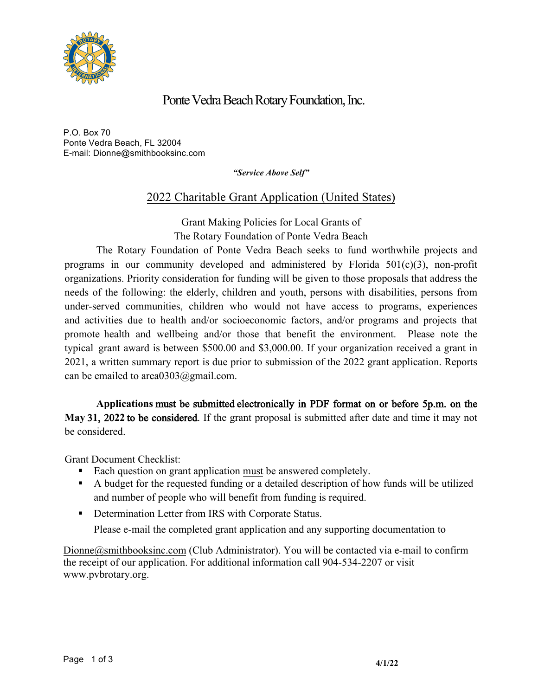

## Ponte Vedra Beach Rotary Foundation, Inc.

P.O. Box 70 Ponte Vedra Beach, FL 32004 E-mail: Dionne@smithbooksinc.com

*"Service Above Self"* 

## 2022 Charitable Grant Application (United States)

Grant Making Policies for Local Grants of The Rotary Foundation of Ponte Vedra Beach

The Rotary Foundation of Ponte Vedra Beach seeks to fund worthwhile projects and programs in our community developed and administered by Florida 501(c)(3), non-profit organizations. Priority consideration for funding will be given to those proposals that address the needs of the following: the elderly, children and youth, persons with disabilities, persons from under-served communities, children who would not have access to programs, experiences and activities due to health and/or socioeconomic factors, and/or programs and projects that promote health and wellbeing and/or those that benefit the environment. Please note the typical grant award is between \$500.00 and \$3,000.00. If your organization received a grant in 2021, a written summary report is due prior to submission of the 2022 grant application. Reports can be emailed to area0303@gmail.com.

**Applications** must be submitted electronically in PDF format on or before 5p.m. on the **May** 3**1**, 20**22** to be considered. If the grant proposal is submitted after date and time it may not be considered.

Grant Document Checklist:

- Each question on grant application must be answered completely.
- § A budget for the requested funding or a detailed description of how funds will be utilized and number of people who will benefit from funding is required.
- Determination Letter from IRS with Corporate Status.

Please e-mail the completed grant application and any supporting documentation to

 $Dionne@smithbooksinc.com$  (Club Administrator). You will be contacted via e-mail to confirm the receipt of our application. For additional information call 904-534-2207 or visit www.pvbrotary.org.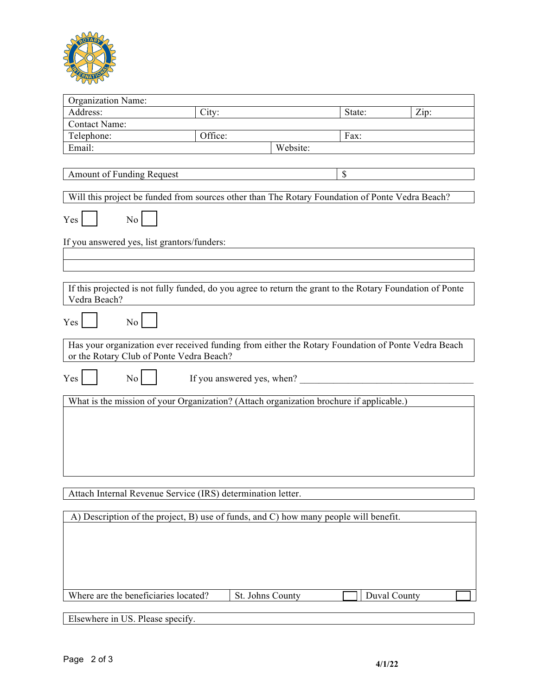

| Organization Name:                                                                                                                             |         |          |        |      |
|------------------------------------------------------------------------------------------------------------------------------------------------|---------|----------|--------|------|
| Address:                                                                                                                                       | City:   |          | State: | Zip: |
| Contact Name:                                                                                                                                  |         |          |        |      |
| Telephone:                                                                                                                                     | Office: |          | Fax:   |      |
| Email:                                                                                                                                         |         | Website: |        |      |
|                                                                                                                                                |         |          |        |      |
| Amount of Funding Request                                                                                                                      |         |          | \$     |      |
|                                                                                                                                                |         |          |        |      |
| Will this project be funded from sources other than The Rotary Foundation of Ponte Vedra Beach?                                                |         |          |        |      |
| No.<br>Yes                                                                                                                                     |         |          |        |      |
| If you answered yes, list grantors/funders:                                                                                                    |         |          |        |      |
|                                                                                                                                                |         |          |        |      |
|                                                                                                                                                |         |          |        |      |
| If this projected is not fully funded, do you agree to return the grant to the Rotary Foundation of Ponte<br>Vedra Beach?                      |         |          |        |      |
| No<br>Yes                                                                                                                                      |         |          |        |      |
| Has your organization ever received funding from either the Rotary Foundation of Ponte Vedra Beach<br>or the Rotary Club of Ponte Vedra Beach? |         |          |        |      |
| Yes<br>If you answered yes, when?<br>No.                                                                                                       |         |          |        |      |
| What is the mission of your Organization? (Attach organization brochure if applicable.)                                                        |         |          |        |      |
|                                                                                                                                                |         |          |        |      |
|                                                                                                                                                |         |          |        |      |
|                                                                                                                                                |         |          |        |      |
|                                                                                                                                                |         |          |        |      |
|                                                                                                                                                |         |          |        |      |
|                                                                                                                                                |         |          |        |      |
|                                                                                                                                                |         |          |        |      |
| Attach Internal Revenue Service (IRS) determination letter.                                                                                    |         |          |        |      |
|                                                                                                                                                |         |          |        |      |
| A) Description of the project, B) use of funds, and C) how many people will benefit.                                                           |         |          |        |      |

| Where are the beneficiaries located? | St. Johns County | <b>Duval County</b> |  |
|--------------------------------------|------------------|---------------------|--|
|                                      |                  |                     |  |
| Elsewhere in US. Please specify.     |                  |                     |  |